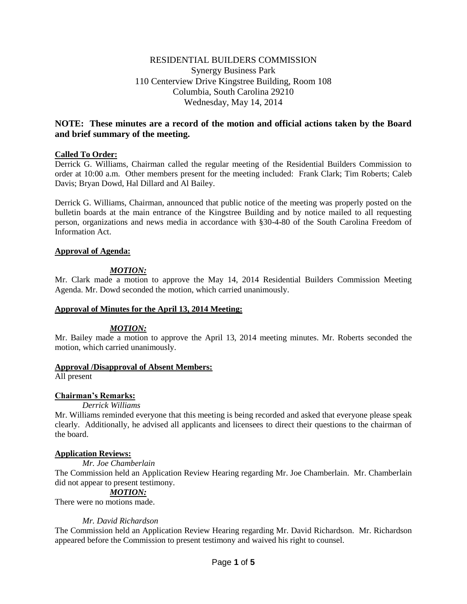# RESIDENTIAL BUILDERS COMMISSION Synergy Business Park 110 Centerview Drive Kingstree Building, Room 108 Columbia, South Carolina 29210 Wednesday, May 14, 2014

# **NOTE: These minutes are a record of the motion and official actions taken by the Board and brief summary of the meeting.**

## **Called To Order:**

Derrick G. Williams, Chairman called the regular meeting of the Residential Builders Commission to order at 10:00 a.m. Other members present for the meeting included: Frank Clark; Tim Roberts; Caleb Davis; Bryan Dowd, Hal Dillard and Al Bailey.

Derrick G. Williams, Chairman, announced that public notice of the meeting was properly posted on the bulletin boards at the main entrance of the Kingstree Building and by notice mailed to all requesting person, organizations and news media in accordance with §30-4-80 of the South Carolina Freedom of Information Act.

## **Approval of Agenda:**

## *MOTION:*

Mr. Clark made a motion to approve the May 14, 2014 Residential Builders Commission Meeting Agenda. Mr. Dowd seconded the motion, which carried unanimously.

## **Approval of Minutes for the April 13, 2014 Meeting:**

## *MOTION:*

Mr. Bailey made a motion to approve the April 13, 2014 meeting minutes. Mr. Roberts seconded the motion, which carried unanimously.

## **Approval /Disapproval of Absent Members:**

All present

## **Chairman's Remarks:**

## *Derrick Williams*

Mr. Williams reminded everyone that this meeting is being recorded and asked that everyone please speak clearly. Additionally, he advised all applicants and licensees to direct their questions to the chairman of the board.

## **Application Reviews:**

*Mr. Joe Chamberlain*

The Commission held an Application Review Hearing regarding Mr. Joe Chamberlain. Mr. Chamberlain did not appear to present testimony.

## *MOTION:*

There were no motions made.

## *Mr. David Richardson*

The Commission held an Application Review Hearing regarding Mr. David Richardson. Mr. Richardson appeared before the Commission to present testimony and waived his right to counsel.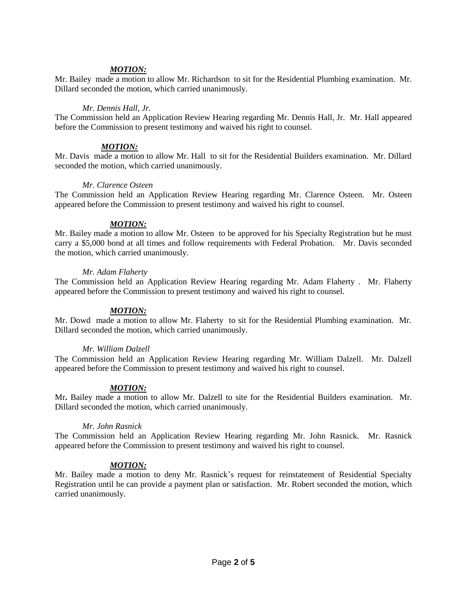## *MOTION:*

Mr. Bailey made a motion to allow Mr. Richardson to sit for the Residential Plumbing examination. Mr. Dillard seconded the motion, which carried unanimously.

#### *Mr. Dennis Hall, Jr.*

The Commission held an Application Review Hearing regarding Mr. Dennis Hall, Jr. Mr. Hall appeared before the Commission to present testimony and waived his right to counsel.

### *MOTION:*

Mr. Davis made a motion to allow Mr. Hall to sit for the Residential Builders examination. Mr. Dillard seconded the motion, which carried unanimously.

#### *Mr. Clarence Osteen*

The Commission held an Application Review Hearing regarding Mr. Clarence Osteen. Mr. Osteen appeared before the Commission to present testimony and waived his right to counsel.

#### *MOTION:*

Mr. Bailey made a motion to allow Mr. Osteen to be approved for his Specialty Registration but he must carry a \$5,000 bond at all times and follow requirements with Federal Probation. Mr. Davis seconded the motion, which carried unanimously.

#### *Mr. Adam Flaherty*

The Commission held an Application Review Hearing regarding Mr. Adam Flaherty . Mr. Flaherty appeared before the Commission to present testimony and waived his right to counsel.

## *MOTION:*

Mr. Dowd made a motion to allow Mr. Flaherty to sit for the Residential Plumbing examination. Mr. Dillard seconded the motion, which carried unanimously.

#### *Mr. William Dalzell*

The Commission held an Application Review Hearing regarding Mr. William Dalzell. Mr. Dalzell appeared before the Commission to present testimony and waived his right to counsel.

## *MOTION:*

Mr**.** Bailey made a motion to allow Mr. Dalzell to site for the Residential Builders examination. Mr. Dillard seconded the motion, which carried unanimously.

#### *Mr. John Rasnick*

The Commission held an Application Review Hearing regarding Mr. John Rasnick. Mr. Rasnick appeared before the Commission to present testimony and waived his right to counsel.

## *MOTION:*

Mr. Bailey made a motion to deny Mr. Rasnick's request for reinstatement of Residential Specialty Registration until he can provide a payment plan or satisfaction. Mr. Robert seconded the motion, which carried unanimously.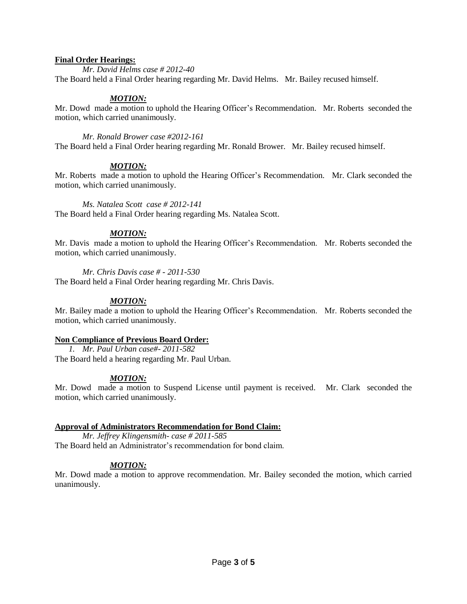## **Final Order Hearings:**

*Mr. David Helms case # 2012-40*

The Board held a Final Order hearing regarding Mr. David Helms. Mr. Bailey recused himself.

## *MOTION:*

Mr. Dowd made a motion to uphold the Hearing Officer's Recommendation. Mr. Roberts seconded the motion, which carried unanimously.

## *Mr. Ronald Brower case #2012-161*

The Board held a Final Order hearing regarding Mr. Ronald Brower. Mr. Bailey recused himself.

## *MOTION:*

Mr. Roberts made a motion to uphold the Hearing Officer's Recommendation. Mr. Clark seconded the motion, which carried unanimously.

## *Ms. Natalea Scott case # 2012-141*

The Board held a Final Order hearing regarding Ms. Natalea Scott.

# *MOTION:*

Mr. Davis made a motion to uphold the Hearing Officer's Recommendation. Mr. Roberts seconded the motion, which carried unanimously.

## *Mr. Chris Davis case # - 2011-530*

The Board held a Final Order hearing regarding Mr. Chris Davis.

## *MOTION:*

Mr. Bailey made a motion to uphold the Hearing Officer's Recommendation. Mr. Roberts seconded the motion, which carried unanimously.

## **Non Compliance of Previous Board Order:**

*1. Mr. Paul Urban case#- 2011-582* The Board held a hearing regarding Mr. Paul Urban.

# *MOTION:*

Mr. Dowd made a motion to Suspend License until payment is received. Mr. Clark seconded the motion, which carried unanimously.

# **Approval of Administrators Recommendation for Bond Claim:**

*Mr. Jeffrey Klingensmith- case # 2011-585* The Board held an Administrator's recommendation for bond claim.

# *MOTION:*

Mr. Dowd made a motion to approve recommendation. Mr. Bailey seconded the motion, which carried unanimously.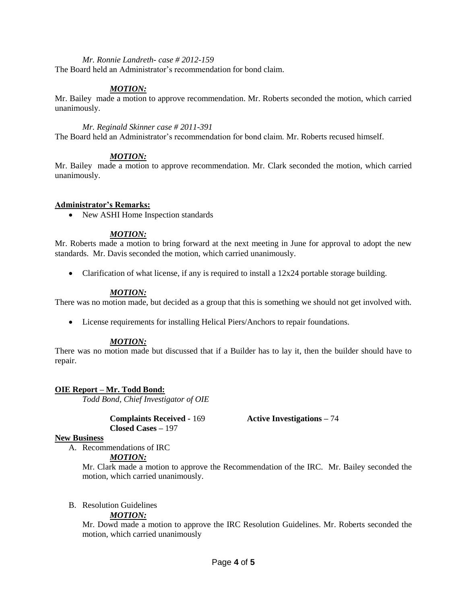#### *Mr. Ronnie Landreth- case # 2012-159*

The Board held an Administrator's recommendation for bond claim.

## *MOTION:*

Mr. Bailey made a motion to approve recommendation. Mr. Roberts seconded the motion, which carried unanimously.

*Mr. Reginald Skinner case # 2011-391*

The Board held an Administrator's recommendation for bond claim. Mr. Roberts recused himself.

#### *MOTION:*

Mr. Bailey made a motion to approve recommendation. Mr. Clark seconded the motion, which carried unanimously.

#### **Administrator's Remarks:**

• New ASHI Home Inspection standards

#### *MOTION:*

Mr. Roberts made a motion to bring forward at the next meeting in June for approval to adopt the new standards. Mr. Davis seconded the motion, which carried unanimously.

• Clarification of what license, if any is required to install a 12x24 portable storage building.

#### *MOTION:*

There was no motion made, but decided as a group that this is something we should not get involved with.

License requirements for installing Helical Piers/Anchors to repair foundations.

#### *MOTION:*

There was no motion made but discussed that if a Builder has to lay it, then the builder should have to repair.

## **OIE Report – Mr. Todd Bond:**

*Todd Bond, Chief Investigator of OIE*

**Complaints Received -** 169 **Active Investigations –** 74 **Closed Cases –** 197

## **New Business**

A. Recommendations of IRC

*MOTION:*

Mr. Clark made a motion to approve the Recommendation of the IRC. Mr. Bailey seconded the motion, which carried unanimously.

#### B. Resolution Guidelines

## *MOTION:*

Mr. Dowd made a motion to approve the IRC Resolution Guidelines. Mr. Roberts seconded the motion, which carried unanimously